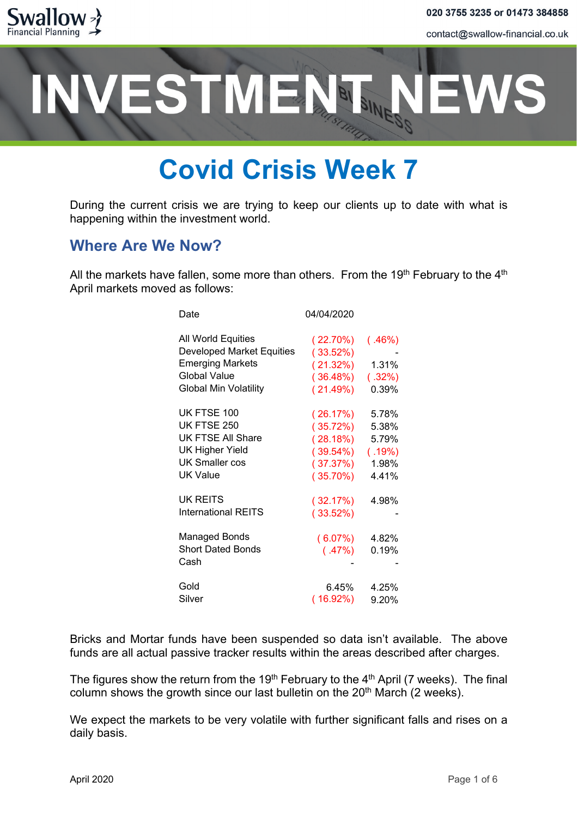



### **Covid Crisis Week 7**

During the current crisis we are trying to keep our clients up to date with what is happening within the investment world.

#### **Where Are We Now?**

All the markets have fallen, some more than others. From the  $19<sup>th</sup>$  February to the  $4<sup>th</sup>$ April markets moved as follows:

| Date                                                                                                                                     | 04/04/2020                                                                 |                                                     |
|------------------------------------------------------------------------------------------------------------------------------------------|----------------------------------------------------------------------------|-----------------------------------------------------|
| All World Equities<br><b>Developed Market Equities</b><br><b>Emerging Markets</b><br><b>Global Value</b><br><b>Global Min Volatility</b> | $(22.70\%)$<br>(33.52%)<br>(21.32%)<br>$(36.48\%)$<br>(21.49%)             | (.46%)<br>1.31%<br>(.32%)<br>0.39%                  |
| UK FTSE 100<br>UK FTSE 250<br>UK FTSE All Share<br><b>UK Higher Yield</b><br><b>UK Smaller cos</b><br>UK Value                           | (26.17%)<br>(35.72%)<br>(28.18%)<br>$(39.54\%)$<br>(37.37%)<br>$(35.70\%)$ | 5.78%<br>5.38%<br>5.79%<br>(.19%)<br>1.98%<br>4.41% |
| <b>UK REITS</b><br>International REITS                                                                                                   | ( 32.17%)<br>(33.52%)                                                      | 4.98%                                               |
| <b>Managed Bonds</b><br><b>Short Dated Bonds</b><br>Cash                                                                                 | $(6.07\%)$<br>(.47%)                                                       | 4.82%<br>0.19%                                      |
| Gold<br>Silver                                                                                                                           | 6.45%<br>$(16.92\%)$                                                       | 4.25%<br>9.20%                                      |

Bricks and Mortar funds have been suspended so data isn't available. The above funds are all actual passive tracker results within the areas described after charges.

The figures show the return from the 19<sup>th</sup> February to the 4<sup>th</sup> April (7 weeks). The final column shows the growth since our last bulletin on the  $20<sup>th</sup>$  March (2 weeks).

We expect the markets to be very volatile with further significant falls and rises on a daily basis.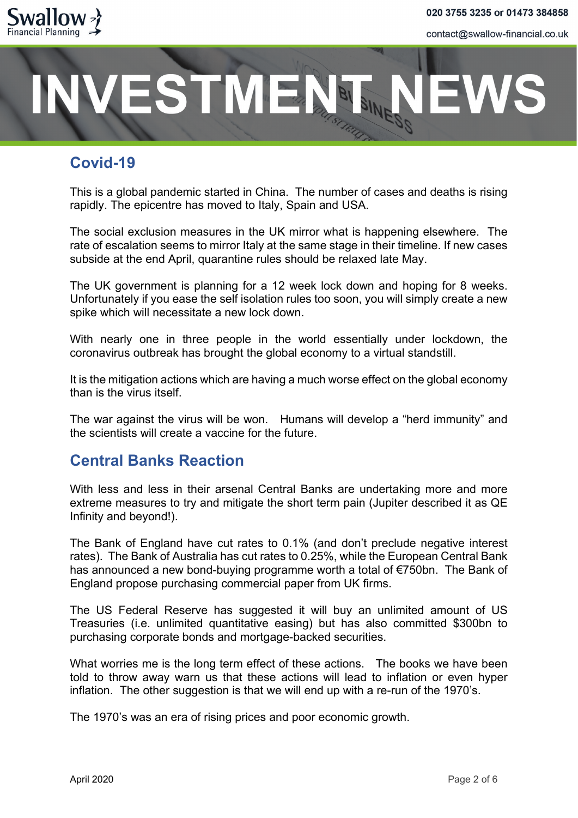

### **ESTMEN®**

#### **Covid-19**

This is a global pandemic started in China. The number of cases and deaths is rising rapidly. The epicentre has moved to Italy, Spain and USA.

The social exclusion measures in the UK mirror what is happening elsewhere. The rate of escalation seems to mirror Italy at the same stage in their timeline. If new cases subside at the end April, quarantine rules should be relaxed late May.

The UK government is planning for a 12 week lock down and hoping for 8 weeks. Unfortunately if you ease the self isolation rules too soon, you will simply create a new spike which will necessitate a new lock down.

With nearly one in three people in the world essentially under lockdown, the coronavirus outbreak has brought the global economy to a virtual standstill.

It is the mitigation actions which are having a much worse effect on the global economy than is the virus itself.

The war against the virus will be won. Humans will develop a "herd immunity" and the scientists will create a vaccine for the future.

#### **Central Banks Reaction**

With less and less in their arsenal Central Banks are undertaking more and more extreme measures to try and mitigate the short term pain (Jupiter described it as QE Infinity and beyond!).

The Bank of England have cut rates to 0.1% (and don't preclude negative interest rates). The Bank of Australia has cut rates to 0.25%, while the European Central Bank has announced a new bond-buying programme worth a total of €750bn. The Bank of England propose purchasing commercial paper from UK firms.

The US Federal Reserve has suggested it will buy an unlimited amount of US Treasuries (i.e. unlimited quantitative easing) but has also committed \$300bn to purchasing corporate bonds and mortgage-backed securities.

What worries me is the long term effect of these actions. The books we have been told to throw away warn us that these actions will lead to inflation or even hyper inflation. The other suggestion is that we will end up with a re-run of the 1970's.

The 1970's was an era of rising prices and poor economic growth.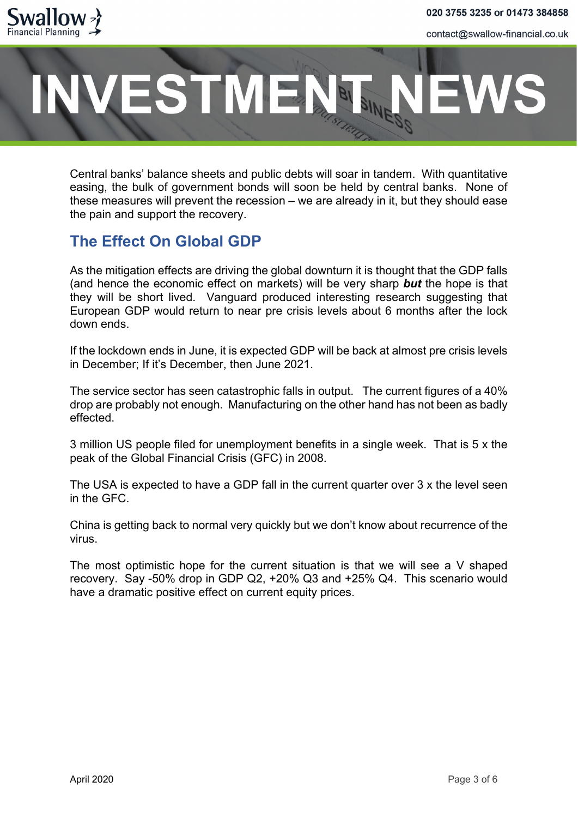

### **ESTMEN®**

Central banks' balance sheets and public debts will soar in tandem. With quantitative easing, the bulk of government bonds will soon be held by central banks. None of these measures will prevent the recession – we are already in it, but they should ease the pain and support the recovery.

#### **The Effect On Global GDP**

As the mitigation effects are driving the global downturn it is thought that the GDP falls (and hence the economic effect on markets) will be very sharp *but* the hope is that they will be short lived. Vanguard produced interesting research suggesting that European GDP would return to near pre crisis levels about 6 months after the lock down ends.

If the lockdown ends in June, it is expected GDP will be back at almost pre crisis levels in December; If it's December, then June 2021.

The service sector has seen catastrophic falls in output. The current figures of a 40% drop are probably not enough. Manufacturing on the other hand has not been as badly effected.

3 million US people filed for unemployment benefits in a single week. That is 5 x the peak of the Global Financial Crisis (GFC) in 2008.

The USA is expected to have a GDP fall in the current quarter over 3 x the level seen in the GFC.

China is getting back to normal very quickly but we don't know about recurrence of the virus.

The most optimistic hope for the current situation is that we will see a V shaped recovery. Say -50% drop in GDP Q2, +20% Q3 and +25% Q4. This scenario would have a dramatic positive effect on current equity prices.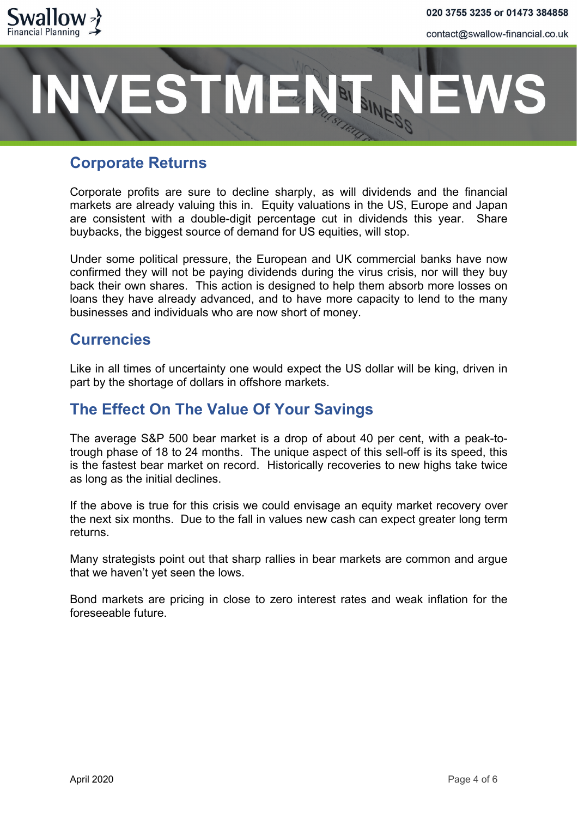

# **ESTMENT**

#### **Corporate Returns**

Corporate profits are sure to decline sharply, as will dividends and the financial markets are already valuing this in. Equity valuations in the US, Europe and Japan are consistent with a double-digit percentage cut in dividends this year. Share buybacks, the biggest source of demand for US equities, will stop.

Under some political pressure, the European and UK commercial banks have now confirmed they will not be paying dividends during the virus crisis, nor will they buy back their own shares. This action is designed to help them absorb more losses on loans they have already advanced, and to have more capacity to lend to the many businesses and individuals who are now short of money.

#### **Currencies**

Like in all times of uncertainty one would expect the US dollar will be king, driven in part by the shortage of dollars in offshore markets.

#### **The Effect On The Value Of Your Savings**

The average S&P 500 bear market is a drop of about 40 per cent, with a peak-totrough phase of 18 to 24 months. The unique aspect of this sell-off is its speed, this is the fastest bear market on record. Historically recoveries to new highs take twice as long as the initial declines.

If the above is true for this crisis we could envisage an equity market recovery over the next six months. Due to the fall in values new cash can expect greater long term returns.

Many strategists point out that sharp rallies in bear markets are common and argue that we haven't yet seen the lows.

Bond markets are pricing in close to zero interest rates and weak inflation for the foreseeable future.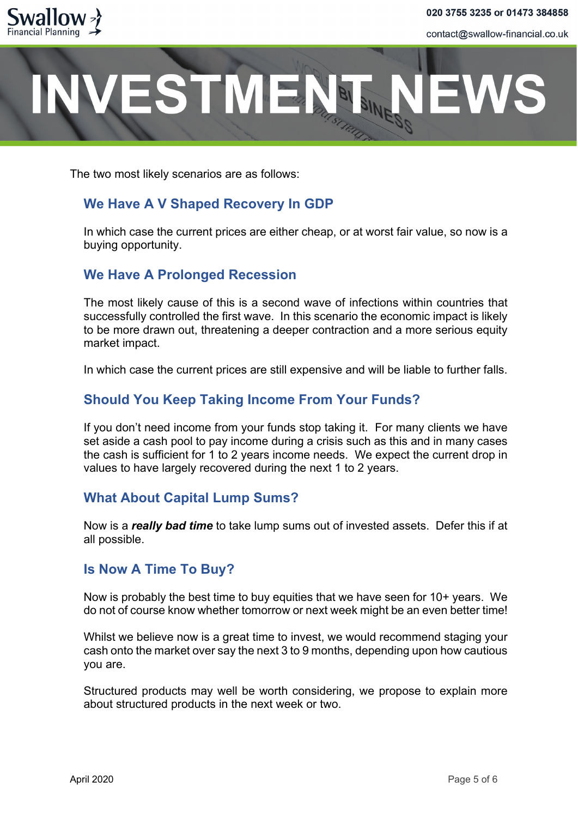

# ESTMENT

The two most likely scenarios are as follows:

#### **We Have A V Shaped Recovery In GDP**

In which case the current prices are either cheap, or at worst fair value, so now is a buying opportunity.

#### **We Have A Prolonged Recession**

The most likely cause of this is a second wave of infections within countries that successfully controlled the first wave. In this scenario the economic impact is likely to be more drawn out, threatening a deeper contraction and a more serious equity market impact.

In which case the current prices are still expensive and will be liable to further falls.

#### **Should You Keep Taking Income From Your Funds?**

If you don't need income from your funds stop taking it. For many clients we have set aside a cash pool to pay income during a crisis such as this and in many cases the cash is sufficient for 1 to 2 years income needs. We expect the current drop in values to have largely recovered during the next 1 to 2 years.

#### **What About Capital Lump Sums?**

Now is a *really bad time* to take lump sums out of invested assets. Defer this if at all possible.

#### **Is Now A Time To Buy?**

Now is probably the best time to buy equities that we have seen for 10+ years. We do not of course know whether tomorrow or next week might be an even better time!

Whilst we believe now is a great time to invest, we would recommend staging your cash onto the market over say the next 3 to 9 months, depending upon how cautious you are.

Structured products may well be worth considering, we propose to explain more about structured products in the next week or two.